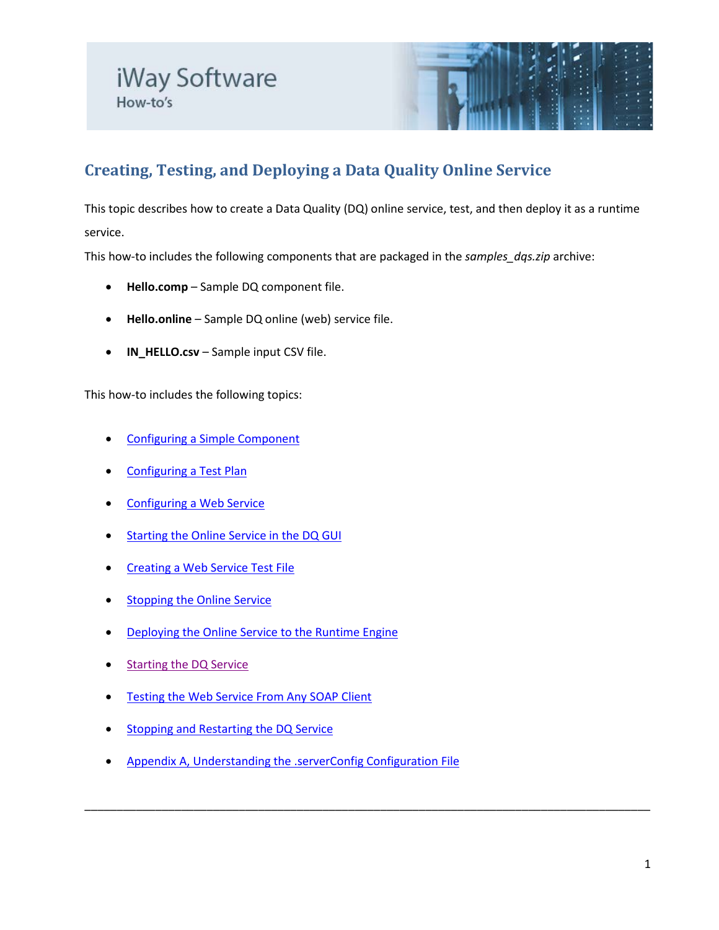

# **Creating, Testing, and Deploying a Data Quality Online Service**

This topic describes how to create a Data Quality (DQ) online service, test, and then deploy it as a runtime service.

This how-to includes the following components that are packaged in the *samples\_dqs.zip* archive:

- **Hello.comp** Sample DQ component file.
- **Hello.online** Sample DQ online (web) service file.
- **IN\_HELLO.csv** Sample input CSV file.

This how-to includes the following topics:

- [Configuring a Simple Component](#page-1-0)
- [Configuring a Test Plan](#page-1-1)
- [Configuring a Web Service](#page-2-0)
- **[Starting the Online Service in the DQ GUI](#page-3-0)**
- **[Creating a Web Service Test File](#page-4-0)**
- **[Stopping the Online Service](#page-7-0)**
- [Deploying the Online Service to the Runtime Engine](#page-7-1)
- **[Starting the DQ Service](#page-8-0)**
- [Testing the Web Service From Any SOAP Client](#page-8-1)
- **[Stopping and Restarting the DQ Service](#page-9-0)**
- [Appendix A, Understanding the .serverConfig Configuration File](#page-10-0)

\_\_\_\_\_\_\_\_\_\_\_\_\_\_\_\_\_\_\_\_\_\_\_\_\_\_\_\_\_\_\_\_\_\_\_\_\_\_\_\_\_\_\_\_\_\_\_\_\_\_\_\_\_\_\_\_\_\_\_\_\_\_\_\_\_\_\_\_\_\_\_\_\_\_\_\_\_\_\_\_\_\_\_\_\_\_\_\_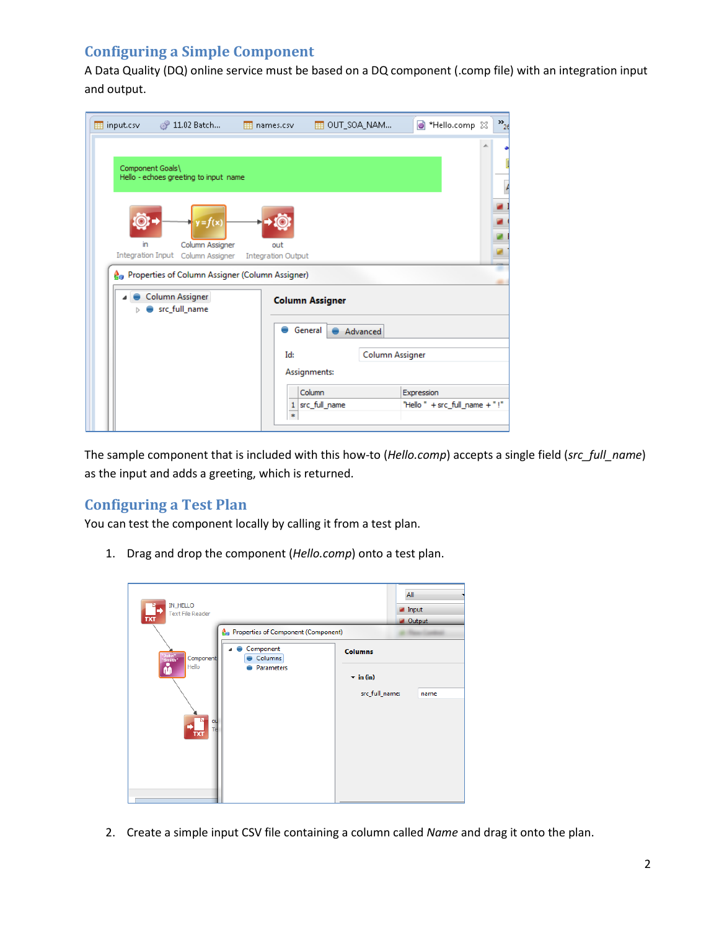# <span id="page-1-0"></span>**Configuring a Simple Component**

A Data Quality (DQ) online service must be based on a DQ component (.comp file) with an integration input and output.

| input.csv                      | ீ 11.02 Batch                                                                                                | 田 names.csv                      | THE OUT_SOA_NAM                               | <b>C</b> Hello.comp $\boxtimes$ | $v_{2}$ |
|--------------------------------|--------------------------------------------------------------------------------------------------------------|----------------------------------|-----------------------------------------------|---------------------------------|---------|
| Component Goals\               | Hello - echoes greeting to input name                                                                        |                                  |                                               |                                 |         |
| in<br><b>Integration Input</b> | $r = f(x)$<br>Column Assigner<br>Column Assigner<br><b>A</b> Properties of Column Assigner (Column Assigner) | out<br><b>Integration Output</b> |                                               |                                 |         |
|                                | Column Assigner<br>src_full_name                                                                             |                                  | <b>Column Assigner</b><br>General<br>Advanced |                                 |         |
|                                |                                                                                                              | Id:                              | Column Assigner<br>Assignments:<br>Column     | Expression                      |         |
|                                |                                                                                                              | *                                | 1 src_full_name                               | "Hello " + src_full_name + "!"  |         |

The sample component that is included with this how-to (*Hello.comp*) accepts a single field (*src\_full\_name*) as the input and adds a greeting, which is returned.

### <span id="page-1-1"></span>**Configuring a Test Plan**

You can test the component locally by calling it from a test plan.

1. Drag and drop the component (*Hello.comp*) onto a test plan.

| IN_HELLO<br>$\frac{1}{\sqrt{2}}$<br><b>Text File Reader</b><br>Properties of Component (Component)          |                                                                      | All<br>$\blacksquare$ Input<br><b>Cold Output</b> |
|-------------------------------------------------------------------------------------------------------------|----------------------------------------------------------------------|---------------------------------------------------|
| Component<br>"John"<br>"Smith"<br>Columns<br>Component<br>ů<br>Hello<br>Parameters<br>ou<br>$\overline{TX}$ | <b>Columns</b><br>$\overline{\phantom{a}}$ in (in)<br>src_full_name: | name                                              |

2. Create a simple input CSV file containing a column called *Name* and drag it onto the plan.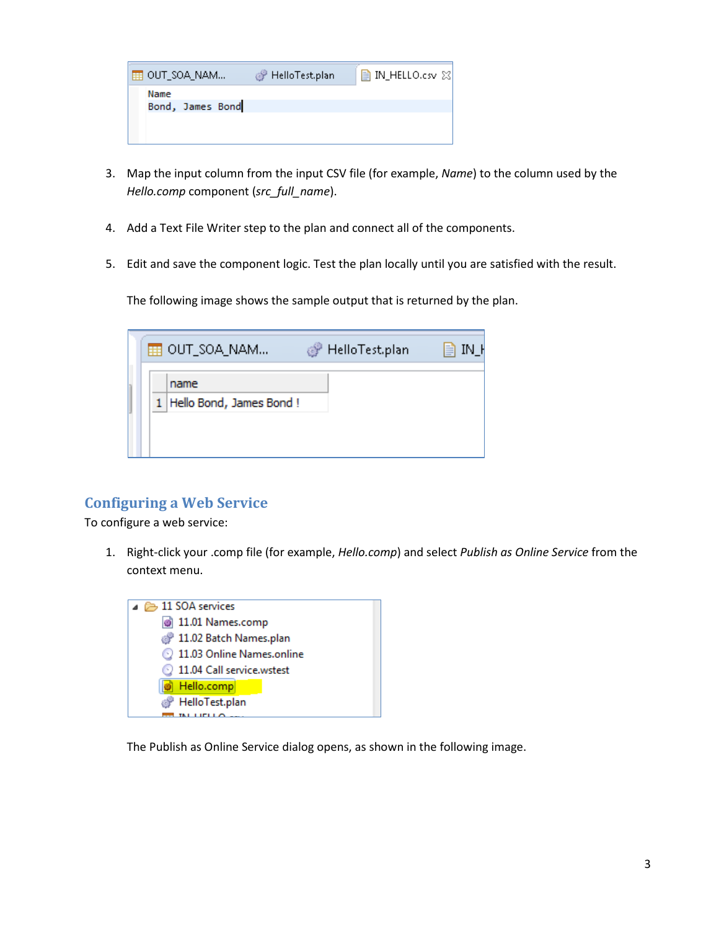| I ⊞I OUT_SOA_NAM         | HelloTest.plan | ■ IN_HELLO.csv ⊠ |
|--------------------------|----------------|------------------|
| Name<br>Bond, James Bond |                |                  |
|                          |                |                  |
|                          |                |                  |

- 3. Map the input column from the input CSV file (for example, *Name*) to the column used by the *Hello.comp* component (*src\_full\_name*).
- 4. Add a Text File Writer step to the plan and connect all of the components.
- 5. Edit and save the component logic. Test the plan locally until you are satisfied with the result.

The following image shows the sample output that is returned by the plan.

|  | ⊞ OUT_SOA_NAM                     | HelloTest.plan | 目<br>IN H |
|--|-----------------------------------|----------------|-----------|
|  | name<br>1 Hello Bond, James Bond! |                |           |

### <span id="page-2-0"></span>**Configuring a Web Service**

To configure a web service:

1. Right-click your .comp file (for example, *Hello.comp*) and select *Publish as Online Service* from the context menu.



The Publish as Online Service dialog opens, as shown in the following image.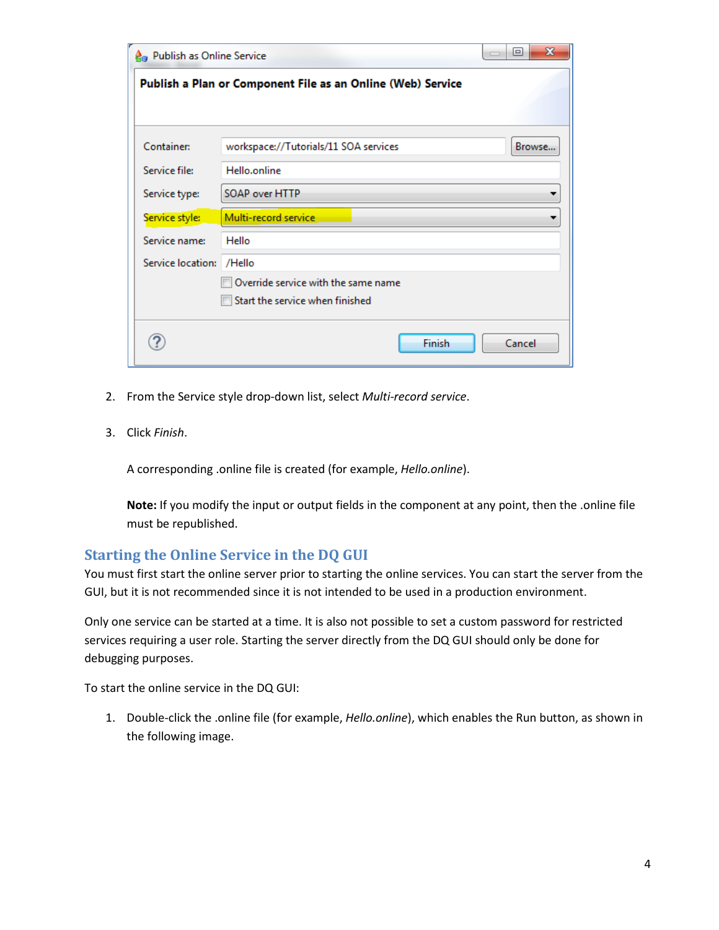| <b>A</b> <sub>n</sub> Publish as Online Service |                                                             | $\mathbf x$<br>回 |
|-------------------------------------------------|-------------------------------------------------------------|------------------|
|                                                 | Publish a Plan or Component File as an Online (Web) Service |                  |
| Container:                                      | workspace://Tutorials/11 SOA services                       | Browse           |
| Service file:                                   | Hello.online                                                |                  |
| Service type:                                   | SOAP over HTTP                                              |                  |
| Service style:                                  | Multi-record service                                        |                  |
| Service name:                                   | Hello                                                       |                  |
| Service location:                               | /Hello                                                      |                  |
|                                                 | Override service with the same name                         |                  |
|                                                 | Start the service when finished                             |                  |
|                                                 | Finish                                                      | Cancel           |

- 2. From the Service style drop-down list, select *Multi-record service*.
- 3. Click *Finish*.

A corresponding .online file is created (for example, *Hello.online*).

**Note:** If you modify the input or output fields in the component at any point, then the .online file must be republished.

#### <span id="page-3-0"></span>**Starting the Online Service in the DQ GUI**

You must first start the online server prior to starting the online services. You can start the server from the GUI, but it is not recommended since it is not intended to be used in a production environment.

Only one service can be started at a time. It is also not possible to set a custom password for restricted services requiring a user role. Starting the server directly from the DQ GUI should only be done for debugging purposes.

To start the online service in the DQ GUI:

1. Double-click the .online file (for example, *Hello.online*), which enables the Run button, as shown in the following image.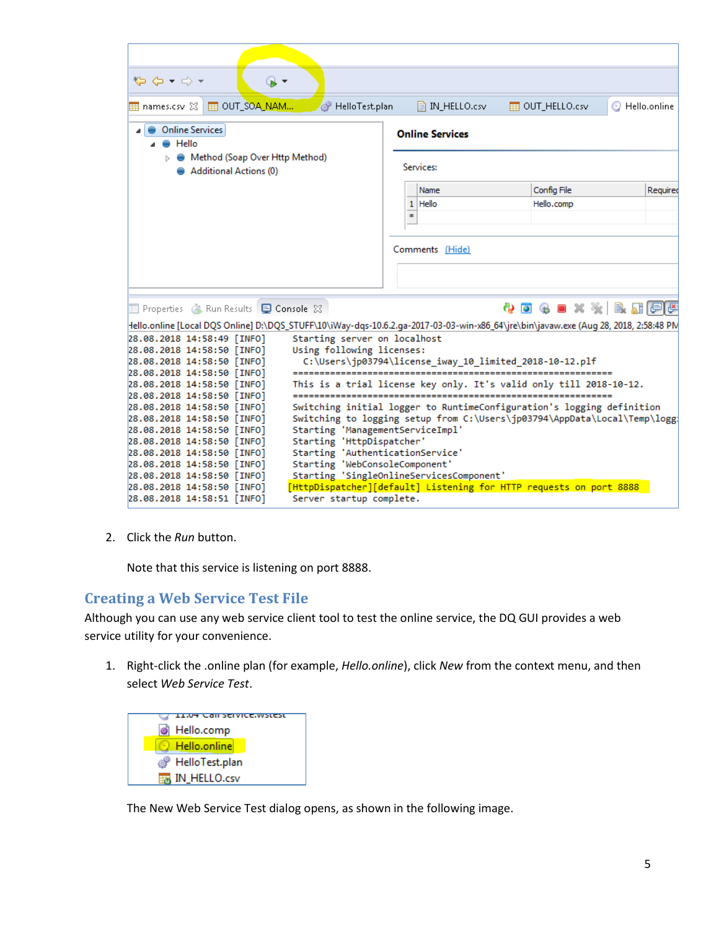| $\mathcal{L} \rightarrow \mathcal{L}$<br>$\circ$ -                                                                                    |                                                               |                                          |                                                                          |              |
|---------------------------------------------------------------------------------------------------------------------------------------|---------------------------------------------------------------|------------------------------------------|--------------------------------------------------------------------------|--------------|
| FEI OUT_SOA_NAM<br>$\overline{\boxplus}$ names.csv $\boxtimes$                                                                        | HelloTest.plan                                                | $\Box$ IN HELLO.csv                      | FEE OUT HELLO.csv                                                        | Hello.online |
| <b>Online Services</b><br>$\bullet$ Hello                                                                                             |                                                               | <b>Online Services</b>                   |                                                                          |              |
| Method (Soap Over Http Method)<br><b>Additional Actions (0)</b>                                                                       |                                                               | <b>Services:</b>                         |                                                                          |              |
|                                                                                                                                       |                                                               | Name                                     | Config File                                                              | Required     |
|                                                                                                                                       |                                                               | Hello<br>$\mathbf{1}$<br>×.              | Hello.comp                                                               |              |
|                                                                                                                                       |                                                               |                                          |                                                                          |              |
|                                                                                                                                       |                                                               | Comments (Hide)                          |                                                                          |              |
|                                                                                                                                       |                                                               |                                          |                                                                          |              |
| Properties 4 Run Results <b>D</b> Console 23                                                                                          |                                                               |                                          | ◆ ◎ ◈ ■ × ※ ● 聞目『                                                        |              |
| Hello.online [Local DQS Online] D:\DQS_STUFF\10\iWay-dqs-10.6.2.ga-2017-03-03-win-x86_64\jre\bin\javaw.exe (Aug 28, 2018, 2:58:48 PM\ |                                                               |                                          |                                                                          |              |
| 28.08.2018 14:58:49 [INFO]                                                                                                            | Starting server on localhost                                  |                                          |                                                                          |              |
| 28.08.2018 14:58:50 [INFO]                                                                                                            | Using following licenses:                                     |                                          |                                                                          |              |
| 28.08.2018 14:58:50 [INFO]                                                                                                            |                                                               |                                          | C:\Users\jp03794\license_iway_10_limited_2018-10-12.plf                  |              |
| 28.08.2018 14:58:50 [INFO]<br>28.08.2018 14:58:50 [INFO]                                                                              |                                                               |                                          | This is a trial license key only. It's valid only till 2018-10-12.       |              |
| 28.08.2018 14:58:50 [INFO]                                                                                                            |                                                               |                                          |                                                                          |              |
| 28.08.2018 14:58:50 [INFO]                                                                                                            |                                                               |                                          | Switching initial logger to RuntimeConfiguration's logging definition    |              |
| 28.08.2018 14:58:50 [INFO]                                                                                                            |                                                               |                                          | Switching to logging setup from C:\Users\jp03794\AppData\Local\Temp\logg |              |
| 28.08.2018 14:58:50 [INFO]                                                                                                            | Starting 'ManagementServiceImpl'                              |                                          |                                                                          |              |
| 28.08.2018 14:58:50 [INFO]<br>28.08.2018 14:58:50 [INFO]                                                                              | Starting 'HttpDispatcher'<br>Starting 'AuthenticationService' |                                          |                                                                          |              |
| 28.08.2018 14:58:50 [INFO]                                                                                                            | Starting 'WebConsoleComponent'                                |                                          |                                                                          |              |
| 28.08.2018 14:58:50 [INFO]                                                                                                            |                                                               | Starting 'SingleOnlineServicesComponent' |                                                                          |              |
| 28.08.2018 14:58:50 [INFO]                                                                                                            |                                                               |                                          | [HttpDispatcher][default] Listening for HTTP requests on port 8888       |              |
| 28.08.2018 14:58:51 [INFO]                                                                                                            | Server startup complete.                                      |                                          |                                                                          |              |

2. Click the *Run* button.

Note that this service is listening on port 8888.

#### <span id="page-4-0"></span>**Creating a Web Service Test File**

Although you can use any web service client tool to test the online service, the DQ GUI provides a web service utility for your convenience.

1. Right-click the .online plan (for example, *Hello.online*), click *New* from the context menu, and then select *Web Service Test*.



The New Web Service Test dialog opens, as shown in the following image.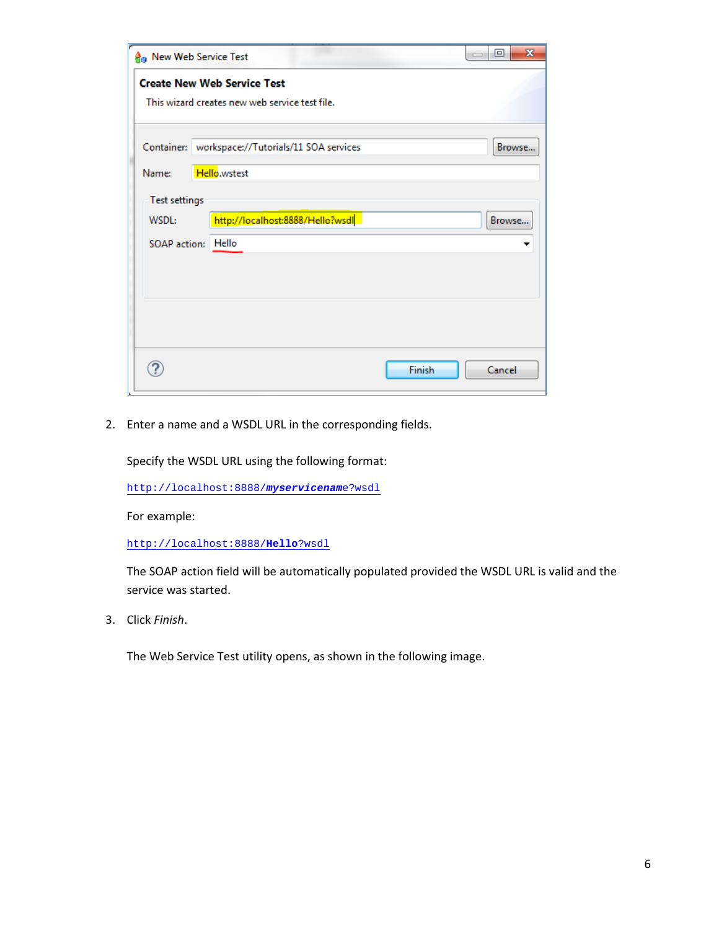| <b>A</b> <sub>n</sub> New Web Service Test |                                                                                      | $\mathbf{x}$<br>▣<br>$\overline{\phantom{a}}$ |
|--------------------------------------------|--------------------------------------------------------------------------------------|-----------------------------------------------|
|                                            | <b>Create New Web Service Test</b><br>This wizard creates new web service test file. |                                               |
|                                            |                                                                                      |                                               |
|                                            | Container: workspace://Tutorials/11 SOA services                                     | Browse                                        |
| Name:                                      | Hello.wstest                                                                         |                                               |
| Test settings                              |                                                                                      |                                               |
| WSDL:                                      | http://localhost:8888/Hello?wsdl                                                     | Browse                                        |
|                                            | SOAP action: Hello                                                                   |                                               |
|                                            |                                                                                      |                                               |
|                                            |                                                                                      |                                               |
|                                            |                                                                                      |                                               |
|                                            |                                                                                      |                                               |
|                                            |                                                                                      | Finish<br>Cancel                              |

2. Enter a name and a WSDL URL in the corresponding fields.

Specify the WSDL URL using the following format:

[http://localhost:8888/](http://localhost:8888/myservicename?wsdl)*myservicenam*e?wsdl

For example:

[http://localhost:8888/](http://localhost:8888/Hello?wsdl)**Hello**?wsdl

The SOAP action field will be automatically populated provided the WSDL URL is valid and the service was started.

3. Click *Finish*.

The Web Service Test utility opens, as shown in the following image.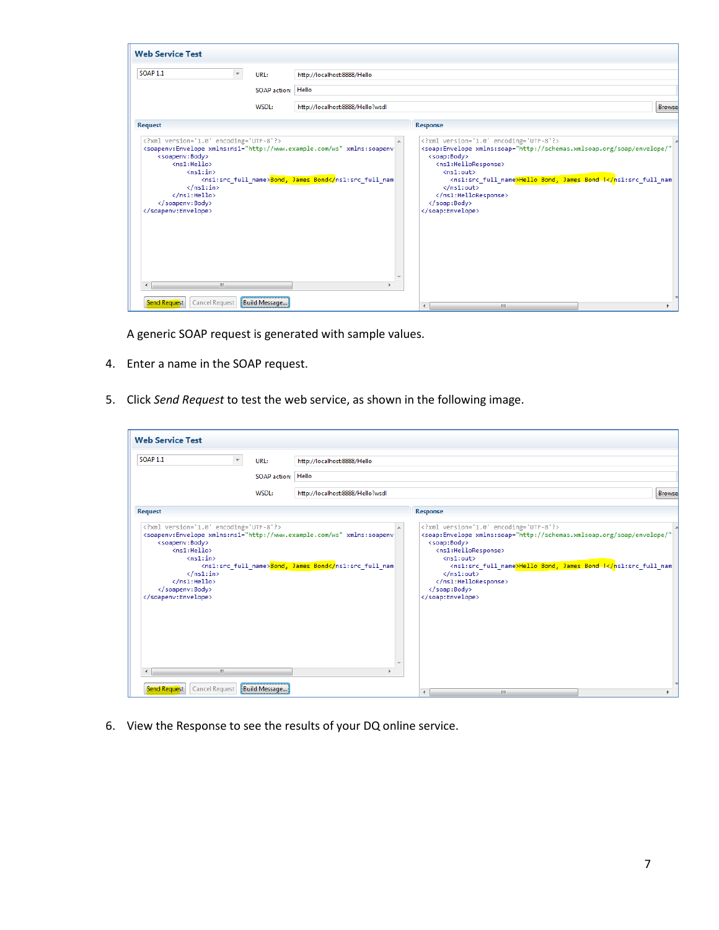| <b>Web Service Test</b>                                                                                                                                                                                                                                                                                                                                    |                     |                                                                      |                                                                                                                                                                                                                                                                                                                                                                   |               |
|------------------------------------------------------------------------------------------------------------------------------------------------------------------------------------------------------------------------------------------------------------------------------------------------------------------------------------------------------------|---------------------|----------------------------------------------------------------------|-------------------------------------------------------------------------------------------------------------------------------------------------------------------------------------------------------------------------------------------------------------------------------------------------------------------------------------------------------------------|---------------|
| <b>SOAP 1.1</b><br>$\cdot$                                                                                                                                                                                                                                                                                                                                 | URL:                | http://localhost:8888/Hello                                          |                                                                                                                                                                                                                                                                                                                                                                   |               |
|                                                                                                                                                                                                                                                                                                                                                            | <b>SOAP</b> action: | Hello                                                                |                                                                                                                                                                                                                                                                                                                                                                   |               |
|                                                                                                                                                                                                                                                                                                                                                            | WSDL:               | http://localhost:8888/Hello?wsdl                                     |                                                                                                                                                                                                                                                                                                                                                                   | <b>Browse</b> |
| <b>Request</b>                                                                                                                                                                                                                                                                                                                                             |                     |                                                                      | <b>Response</b>                                                                                                                                                                                                                                                                                                                                                   |               |
| xml version='1.0' encoding='UTF-8'?<br><soapenv:envelope xmlns:ns1="http://www.example.com/ws" xmlns:soapenv<br=""><soapenv:body><br/><math>\langle</math>ns1:Hello&gt;<br/><math>\langle</math>ns1:in&gt;<br/><math>\langle /ns1:</math>in&gt;<br/><math>\langle</math>/ns1:Hello&gt;<br/></soapenv:body><br/></soapenv:envelope><br>m.<br>$\overline{ }$ |                     | <ns1:src_full_name><mark>Bond, James Bond</mark></ns1:src_full_name> | xml version='1.0' encoding='UTF-8'?<br><soap:envelope <br="" xmlns:soap="http://schemas.xmlsoap.org/soap/envelope/"><soap:body><br/><ns1:helloresponse><br/><math>\langle</math>ns1:out&gt;<br/><ns1:src_full_name>Hello_Bond, James_Bond !<math>\langle /ns1</math>: out &gt;<br/></ns1:src_full_name></ns1:helloresponse><br/></soap:body><br/></soap:envelope> |               |
| <b>Cancel Request</b><br><b>Send Request</b>                                                                                                                                                                                                                                                                                                               | Build Message       |                                                                      | $\overline{\phantom{a}}$<br>m.                                                                                                                                                                                                                                                                                                                                    |               |

A generic SOAP request is generated with sample values.

- 4. Enter a name in the SOAP request.
- 5. Click *Send Request* to test the web service, as shown in the following image.

| <b>SOAP 1.1</b>                                                                                                                                                                                                                                                                                                               | URL:               | http://localhost:8888/Hello                                      |                                                                                                                                                                                                                                                                                                                                                                                      |               |
|-------------------------------------------------------------------------------------------------------------------------------------------------------------------------------------------------------------------------------------------------------------------------------------------------------------------------------|--------------------|------------------------------------------------------------------|--------------------------------------------------------------------------------------------------------------------------------------------------------------------------------------------------------------------------------------------------------------------------------------------------------------------------------------------------------------------------------------|---------------|
|                                                                                                                                                                                                                                                                                                                               | SOAP action: Hello |                                                                  |                                                                                                                                                                                                                                                                                                                                                                                      |               |
|                                                                                                                                                                                                                                                                                                                               | WSDL:              | http://localhost:8888/Hello?wsdl                                 |                                                                                                                                                                                                                                                                                                                                                                                      | <b>Browse</b> |
| <b>Request</b>                                                                                                                                                                                                                                                                                                                |                    |                                                                  | <b>Response</b>                                                                                                                                                                                                                                                                                                                                                                      |               |
| xml version='1.0' encoding='UTF-8'?<br><soapenv:envelope xmlns:ns1="http://www.example.com/ws" xmlns:soapenv<br=""><soapenv:body><br/><ns1:hello><br/><math>\langle</math>ns1:in&gt;<br/><math>\langle /ns1; in \rangle</math><br/><math>\langle</math>/ns1:Hello&gt;<br/></ns1:hello></soapenv:body><br/></soapenv:envelope> |                    | <ns1:src full="" name=""><mark>Bond, James Bond</mark></ns1:src> | xml version='1.0' encoding='UTF-8'?<br><soap:envelope <br="" xmlns:soap="http://schemas.xmlsoap.org/soap/envelope/"><soap:body><br/><ns1:helloresponse><br/><math>\langle</math>ns1:<math>\text{out}\rangle</math><br/><ns1:src full="" name="">Hello Bond, James Bond !</ns1:src><math>\langle /ns1</math>: out &gt;<br/></ns1:helloresponse><br/></soap:body><br/></soap:envelope> |               |

6. View the Response to see the results of your DQ online service.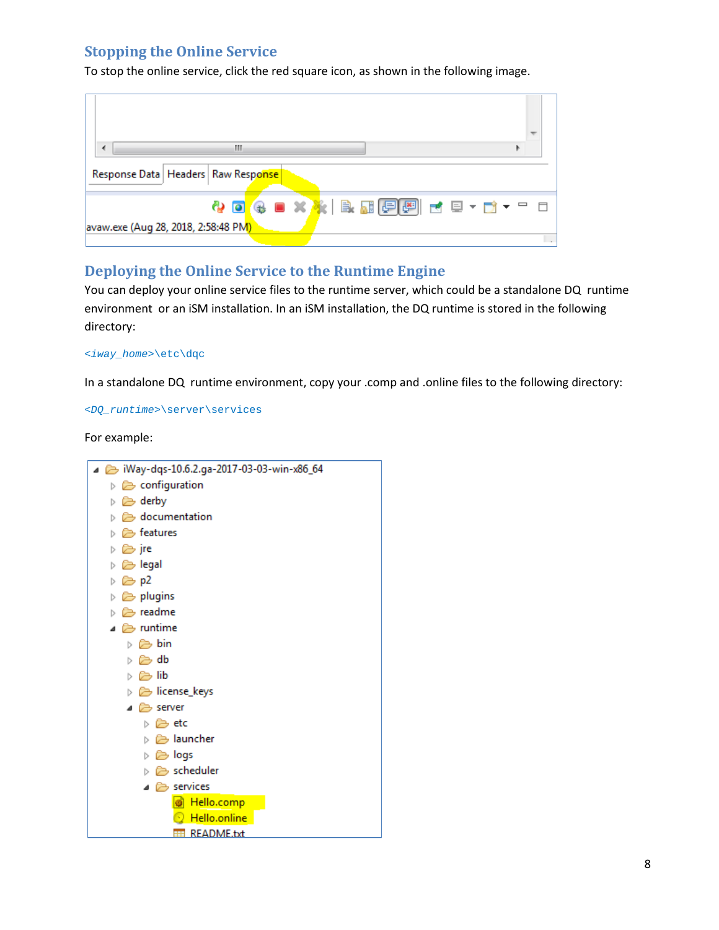## <span id="page-7-0"></span>**Stopping the Online Service**

To stop the online service, click the red square icon, as shown in the following image.

| Ш                                          |  |
|--------------------------------------------|--|
| Response Data   Headers   Raw Response     |  |
| <b>4 0 4 8 X 3 B B G G d d d - d -</b> - d |  |
| avaw.exe (Aug 28, 2018, 2:58:48 PM)        |  |

#### <span id="page-7-1"></span>**Deploying the Online Service to the Runtime Engine**

You can deploy your online service files to the runtime server, which could be a standalone DQ runtime environment or an iSM installation. In an iSM installation, the DQ runtime is stored in the following directory:

#### *<iway\_home>*\etc\dqc

In a standalone DQ runtime environment, copy your .comp and .online files to the following directory:

*<DQ\_runtime>*\server\services

For example:

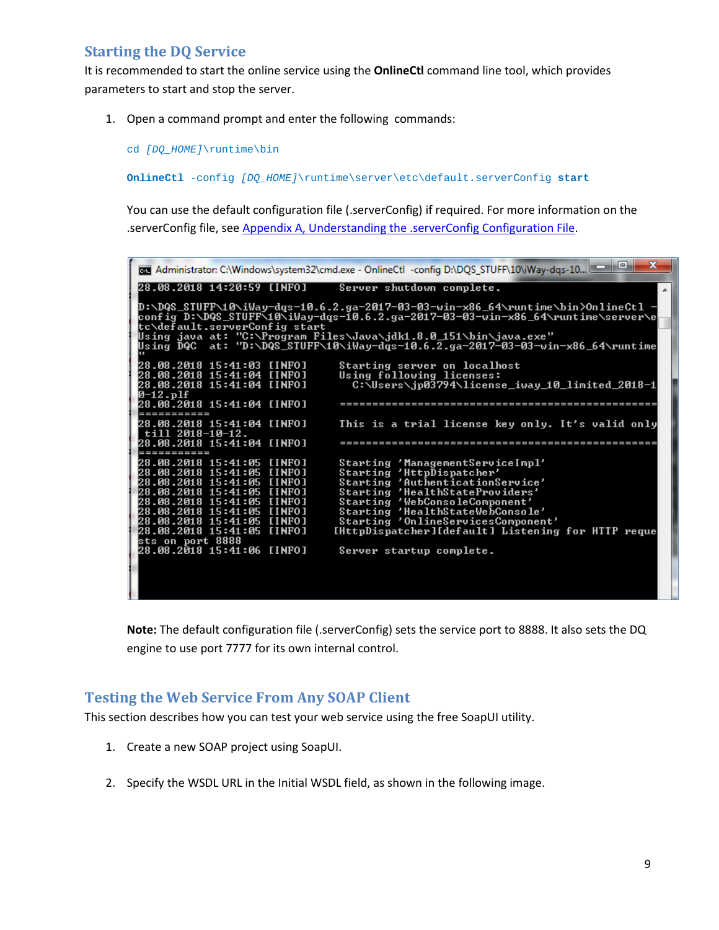### <span id="page-8-0"></span>**Starting the DQ Service**

It is recommended to start the online service using the **OnlineCtl** command line tool, which provides parameters to start and stop the server.

1. Open a command prompt and enter the following commands:

cd *[DQ\_HOME]*\runtime\bin

**OnlineCtl** -config *[DQ\_HOME]*\runtime\server\etc\default.serverConfig **start**

You can use the default configuration file (.serverConfig) if required. For more information on the .serverConfig file, see [Appendix A, Understanding the .serverConfig Configuration File.](#page-10-0)

|                                                          | x<br>a.<br>Monitor: C:\Windows\system32\cmd.exe - OnlineCtl -config D:\DQS_STUFF\10\iWay-dqs-10                                                                    |
|----------------------------------------------------------|--------------------------------------------------------------------------------------------------------------------------------------------------------------------|
| 28.08.2018 14:20:59 [INFO]                               | Server shutdown complete.                                                                                                                                          |
|                                                          | D:\DQS_STUFF\10\iWay-dqs-10.6.2.ga-2017-03-03-win-x86_64\runtime\bin>OnlineCtl<br>config D:\DQS_STUFF\10\iWay-dqs-10.6.2.ga-2017-03-03-win-x86_64\runtime\server\e |
| tc\default.serverConfig start                            | Using java at: "C:∖Program Files\Java\jdk1.8.0_151\bin\java.exe"                                                                                                   |
|                                                          | Using DQC at: "D:\DQS_STUFF\10\iWay-dqs-10.6.2.ga-2017-03-03-win-x86_64\runtime                                                                                    |
| 28.08.2018 15:41:03 [INFO]<br>28.08.2018 15:41:04 [INFO] | Starting server on localhost<br>Using following licenses:                                                                                                          |
| 28.08.2018 15:41:04 [INFO]<br>0–12.plf                   | C:\Users\jp03794\license_iway_10_limited_2018-1                                                                                                                    |
| -----------                                              |                                                                                                                                                                    |
| till 2018-10-12.                                         | This is a trial license key only. It's valid only                                                                                                                  |
| 28.08.2018 15:41:04 [INFO]                               | ========================                                                                                                                                           |
| 28.08.2018 15:41:05 [INFO]                               | Starting 'ManagementServiceImpl'<br>Starting 'HttpDispatcher'                                                                                                      |
| 28.08.2018 15:41:05 [INFO]                               | Starting 'AuthenticationService'                                                                                                                                   |
| 28.08.2018 15:41:05 [INFO]<br>28.08.2018 15:41:05 [INFO] | Starting 'HealthStateProviders'<br>Starting 'WebConsoleComponent'                                                                                                  |
|                                                          | Starting 'HealthStateWebConsole'                                                                                                                                   |
|                                                          | Starting 'OnlineServicesComponent'                                                                                                                                 |
| 28.08.2018 15:41:05 [INFO]                               | [HttpDispatcher][default] Listening for HTTP reque                                                                                                                 |
| sts on port 8888<br>28.08.2018 15:41:06 [INFO]           | Server startup complete.                                                                                                                                           |
|                                                          |                                                                                                                                                                    |
|                                                          |                                                                                                                                                                    |
|                                                          |                                                                                                                                                                    |

**Note:** The default configuration file (.serverConfig) sets the service port to 8888. It also sets the DQ engine to use port 7777 for its own internal control.

#### <span id="page-8-1"></span>**Testing the Web Service From Any SOAP Client**

This section describes how you can test your web service using the free SoapUI utility.

- 1. Create a new SOAP project using SoapUI.
- 2. Specify the WSDL URL in the Initial WSDL field, as shown in the following image.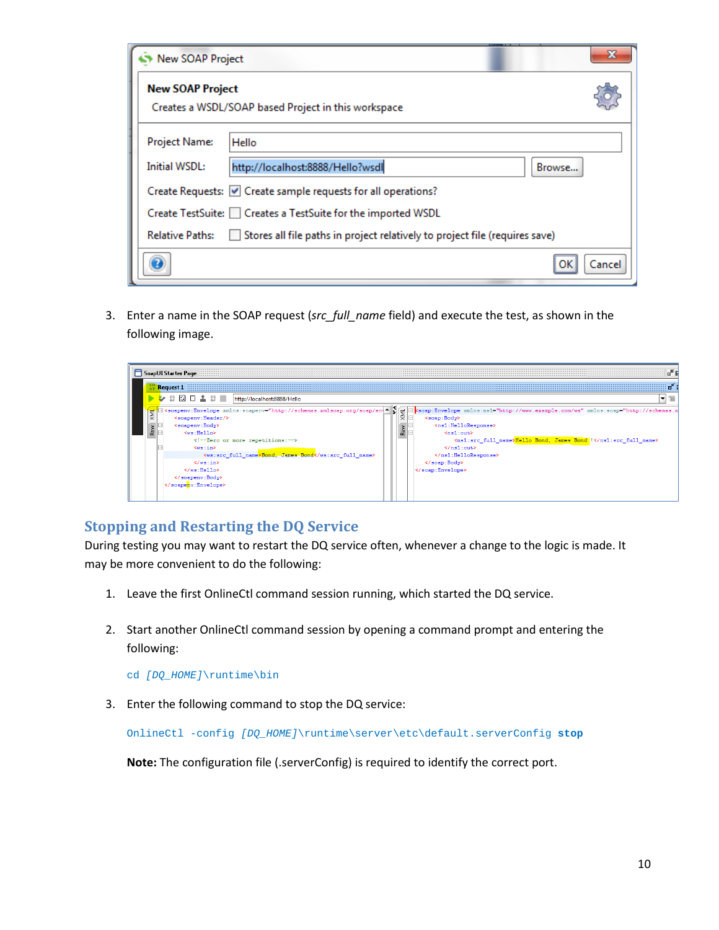| <b>New SOAP Project</b> |                                                                             | х      |
|-------------------------|-----------------------------------------------------------------------------|--------|
| <b>New SOAP Project</b> | Creates a WSDL/SOAP based Project in this workspace                         |        |
| <b>Project Name:</b>    | Hello                                                                       |        |
| Initial WSDL:           | http://localhost:8888/Hello?wsdl<br>Browse                                  |        |
|                         | Create Requests: V Create sample requests for all operations?               |        |
|                         | Create TestSuite: Creates a TestSuite for the imported WSDL                 |        |
| <b>Relative Paths:</b>  | Stores all file paths in project relatively to project file (requires save) |        |
|                         | Ωk                                                                          | Cancel |

3. Enter a name in the SOAP request (*src\_full\_name* field) and execute the test, as shown in the following image.



## <span id="page-9-0"></span>**Stopping and Restarting the DQ Service**

During testing you may want to restart the DQ service often, whenever a change to the logic is made. It may be more convenient to do the following:

- 1. Leave the first OnlineCtl command session running, which started the DQ service.
- 2. Start another OnlineCtl command session by opening a command prompt and entering the following:

cd *[DQ\_HOME]*\runtime\bin

3. Enter the following command to stop the DQ service:

OnlineCtl -config *[DQ\_HOME]*\runtime\server\etc\default.serverConfig **stop**

**Note:** The configuration file (.serverConfig) is required to identify the correct port.